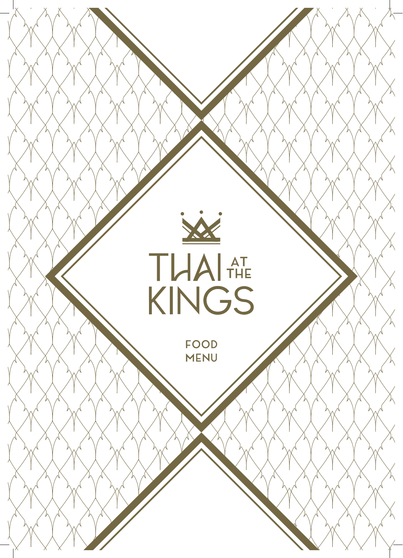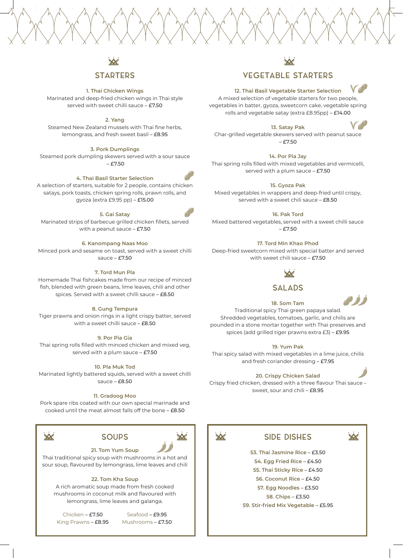#### **STARTERS**

**1. Thai Chicken Wings** 

Marinated and deep-fried chicken wings in Thai style served with sweet chilli sauce – £7.50

**2. Yang** 

Steamed New Zealand mussels with Thai fine herbs, lemongrass, and fresh sweet basil – £8.95

**3. Pork Dumplings** Steamed pork dumpling skewers served with a sour sauce

 $- f7.50$ 

#### **4. Thai Basil Starter Selection**

A selection of starters, suitable for 2 people, contains chicken satays, pork toasts, chicken spring rolls, prawn rolls, and gyoza (extra £9.95 pp) – £15.00

#### **5. Gai Satay**

Marinated strips of barbecue grilled chicken fillets, served with a peanut sauce – £7.50

**6. Kanompang Naas Moo**

Minced pork and sesame on toast, served with a sweet chilli sauce – £7.50

#### **7. Tord Mun Pla**

Homemade Thai fishcakes made from our recipe of minced fish, blended with green beans, lime leaves, chili and other spices. Served with a sweet chilli sauce – £8.50

#### **8. Gung Tempura**

Tiger prawns and onion rings in a light crispy batter, served with a sweet chilli sauce – £8.50

**9. Por Pia Gia**

Thai spring rolls filled with minced chicken and mixed veg, served with a plum sauce - £7.50

#### **10. Pla Muk Tod**

Marinated lightly battered squids, served with a sweet chilli sauce – £8.50

#### **11. Gradoog Moo**

Pork spare ribs coated with our own special marinade and cooked until the meat almost falls off the bone – £8.50







Thai traditional spicy soup with mushrooms in a hot and sour soup, flavoured by lemongrass, lime leaves and chili

#### **22. Tom Kha Soup**

A rich aromatic soup made from fresh cooked mushrooms in coconut milk and flavoured with lemongrass, lime leaves and galanga.

Chicken – £7.50 King Prawns – £8.95

Seafood – £9.95 Mushrooms – £7.50

# VEGETABLE STARTERS

**12. Thai Basil Vegetable Starter Selection**

A mixed selection of vegetable starters for two people, vegetables in batter, gyoza, sweetcorn cake, vegetable spring rolls and vegetable satay (extra £8.95pp) – £14.00

**13. Satay Pak**

Char-grilled vegetable skewers served with peanut sauce  $- f7.50$ 

**14. Por Pia Jay** Thai spring rolls filled with mixed vegetables and vermicelli, served with a plum sauce - £7.50

**15. Gyoza Pak**

Mixed vegetables in wrappers and deep-fried until crispy, served with a sweet chili sauce - £8.50

**16. Pak Tord** Mixed battered vegetables, served with a sweet chilli sauce – £7.50

**17. Tord Min Khao Phod** Deep-fried sweetcorn mixed with special batter and served with sweet chili sauce – £7.50

### $\boldsymbol{\times}$

#### SALADS



つかん

X

Traditional spicy Thai green papaya salad. Shredded vegetables, tomatoes, garlic, and chilis are pounded in a stone mortar together with Thai preserves and spices (add grilled tiger prawns extra £3) – £9.95

#### **19. Yum Pak**

Thai spicy salad with mixed vegetables in a lime juice, chilis and fresh coriander dressing – £7.95

#### **20. Crispy Chicken Salad**

Crispy fried chicken, dressed with a three flavour Thai sauce – sweet, sour and chili – £8.95



X

#### SIDE DISHES

**53. Thai Jasmine Rice** – £3.50 **54. Egg Fried Rice** – £4.50 **55. Thai Sticky Rice** – £4.50 **56. Coconut Rice** – £4.50 **57. Egg Noodles** – £3.50 **58. Chips** – £3.50 **59. Stir-fried Mix Vegetable** – £5.95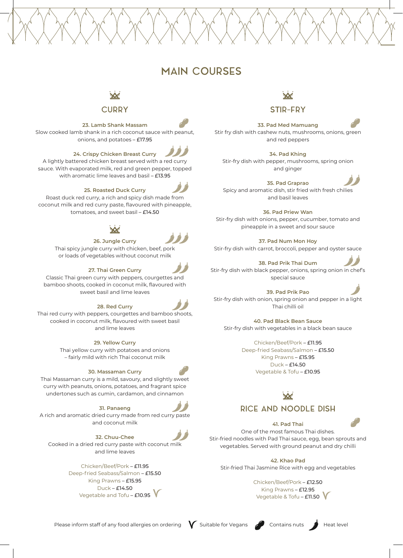## MAIN COURSES



### **CURRY**

#### **23. Lamb Shank Massam**

Slow cooked lamb shank in a rich coconut sauce with peanut, onions, and potatoes – £17.95

#### **24. Crispy Chicken Breast Curry**

A lightly battered chicken breast served with a red curry sauce. With evaporated milk, red and green pepper, topped with aromatic lime leaves and basil – £13.95

#### **25. Roasted Duck Curry**

Roast duck red curry, a rich and spicy dish made from coconut milk and red curry paste, flavoured with pineapple, tomatoes, and sweet basil – £14.50



**26. Jungle Curry**  Thai spicy jungle curry with chicken, beef, pork or loads of vegetables without coconut milk

#### **27. Thai Green Curry**

Classic Thai green curry with peppers, courgettes and bamboo shoots, cooked in coconut milk, flavoured with sweet basil and lime leaves

#### **28. Red Curry**

Thai red curry with peppers, courgettes and bamboo shoots, cooked in coconut milk, flavoured with sweet basil and lime leaves

#### **29. Yellow Curry**

Thai yellow curry with potatoes and onions – fairly mild with rich Thai coconut milk

#### **30. Massaman Curry**

Thai Massaman curry is a mild, savoury, and slightly sweet curry with peanuts, onions, potatoes, and fragrant spice undertones such as cumin, cardamon, and cinnamon

#### **31. Panaeng**

A rich and aromatic dried curry made from red curry paste and coconut milk

#### **32. Chuu-Chee**

Cooked in a dried red curry paste with coconut milk and lime leaves

#### Chicken/Beef/Pork – £11.95

Deep-fried Seabass/Salmon – £15.50 King Prawns – £15.95 Duck – £14.50 Vegetable and Tofu –  $E10.95$ 



**33. Pad Med Mamuang** Stir fry dish with cashew nuts, mushrooms, onions, green and red peppers

**34. Pad Khing** Stir-fry dish with pepper, mushrooms, spring onion and ginger

**35. Pad Graprao** Spicy and aromatic dish, stir fried with fresh chilies and basil leaves

**36. Pad Priew Wan** Stir-fry dish with onions, pepper, cucumber, tomato and pineapple in a sweet and sour sauce

**37. Pad Num Mon Hoy** Stir-fry dish with carrot, broccoli, pepper and oyster sauce

**38. Pad Prik Thai Dum** Stir-fry dish with black pepper, onions, spring onion in chef's special sauce

**39. Pad Prik Pao** Stir-fry dish with onion, spring onion and pepper in a light Thai chilli oil

**40. Pad Black Bean Sauce** Stir-fry dish with vegetables in a black bean sauce

> Chicken/Beef/Pork – £11.95 Deep-fried Seabass/Salmon – £15.50 King Prawns – £15.95 Duck – £14.50 Vegetable & Tofu – £10.95

## $\boldsymbol{\times}$

### RICE AND NOODLE DISH

**41. Pad Thai**

One of the most famous Thai dishes. Stir-fried noodles with Pad Thai sauce, egg, bean sprouts and vegetables. Served with ground peanut and dry chilli

#### **42. Khao Pad**

Stir-fried Thai Jasmine Rice with egg and vegetables

Chicken/Beef/Pork – £12.50 King Prawns – £12.95 Vegetable & Tofu  $-$  £11.50  $\sqrt{ }$ 

Please inform staff of any food allergies on ordering  $\bigvee$  Suitable for Vegans Contains nuts  $\bigcirc$  Heat level